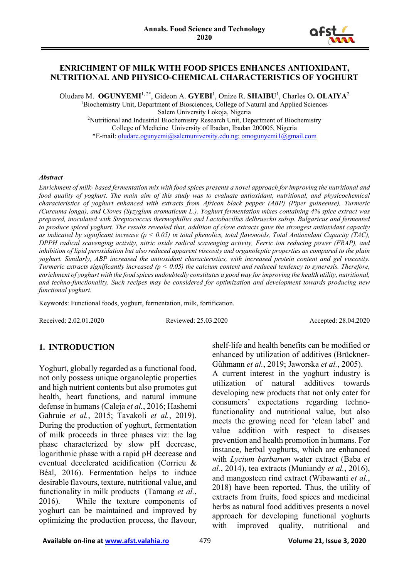

#### **ENRICHMENT OF MILK WITH FOOD SPICES ENHANCES ANTIOXIDANT, NUTRITIONAL AND PHYSICO-CHEMICAL CHARACTERISTICS OF YOGHURT**

Oludare M. OGUNYEMI<sup>1,2\*</sup>, Gideon A. GYEBI<sup>1</sup>, Onize R. SHAIBU<sup>1</sup>, Charles O. OLAIYA<sup>2</sup>

<sup>1</sup>Biochemistry Unit, Department of Biosciences, College of Natural and Applied Sciences Salem University Lokoja, Nigeria 2 Nutritional and Industrial Biochemistry Research Unit, Department of Biochemistry College of Medicine University of Ibadan, Ibadan 200005, Nigeria \*E-mail: [oludare.ogunyemi@salemuniversity.edu.ng;](mailto:oludare.ogunyemi@salemuniversity.edu.ng) [omogunyemi1@gmail.com](mailto:omogunyemi1@gmail.com)

#### *Abstract*

*Enrichment of milk- based fermentation mix with food spices presents a novel approach for improving the nutritional and food quality of yoghurt. The main aim of this study was to evaluate antioxidant, nutritional, and physicochemical characteristics of yoghurt enhanced with extracts from African black pepper (ABP) (Piper guineense), Turmeric (Curcuma longa), and Cloves (Syzygium aromaticum L.). Yoghurt fermentation mixes containing 4% spice extract was prepared, inoculated with Streptococcus thermophillus and Lactobacillus delbrueckii subsp. Bulgaricus and fermented to produce spiced yoghurt. The results revealed that, addition of clove extracts gave the strongest antioxidant capacity as indicated by significant increase (p < 0.05) in total phenolics, total flavonoids, Total Antioxidant Capacity (TAC), DPPH radical scavenging activity, nitric oxide radical scavenging activity, Ferric ion reducing power (FRAP), and inhibition of lipid peroxidation but also reduced apparent viscosity and organoleptic properties as compared to the plain yoghurt. Similarly, ABP increased the antioxidant characteristics, with increased protein content and gel viscosity. Turmeric extracts significantly increased (p < 0.05) the calcium content and reduced tendency to syneresis. Therefore, enrichment of yoghurt with the food spices undoubtedly constitutes a good way for improving the health utility, nutritional, and techno-functionality. Such recipes may be considered for optimization and development towards producing new functional yoghurt.* 

Keywords: Functional foods, yoghurt, fermentation, milk, fortification.

Received: 2.02.01.2020 Reviewed: 25.03.2020 Accepted: 28.04.2020

#### **1. INTRODUCTION**

Yoghurt, globally regarded as a functional food, not only possess unique organoleptic properties and high nutrient contents but also promotes gut health, heart functions, and natural immune defense in humans (Caleja *et al.*, 2016; Hashemi Gahruie *et al.*, 2015; Tavakoli *et al.*, 2019). During the production of yoghurt, fermentation of milk proceeds in three phases viz: the lag phase characterized by slow pH decrease, logarithmic phase with a rapid pH decrease and eventual decelerated acidification (Corrieu & Béal, 2016). Fermentation helps to induce desirable flavours, texture, nutritional value, and functionality in milk products (Tamang *et al.*, 2016). While the texture components of yoghurt can be maintained and improved by optimizing the production process, the flavour, shelf-life and health benefits can be modified or enhanced by utilization of additives (Brückner-Gühmann *et al.*, 2019; Jaworska *et al.*, 2005).

A current interest in the yoghurt industry is utilization of natural additives towards developing new products that not only cater for consumers' expectations regarding technofunctionality and nutritional value, but also meets the growing need for 'clean label' and value addition with respect to diseases prevention and health promotion in humans. For instance, herbal yoghurts, which are enhanced with *Lycium barbarum* water extract (Baba *et al.*, 2014), tea extracts (Muniandy *et al.*, 2016), and mangosteen rind extract (Wibawanti *et al.*, 2018) have been reported. Thus, the utility of extracts from fruits, food spices and medicinal herbs as natural food additives presents a novel approach for developing functional yoghurts with improved quality, nutritional and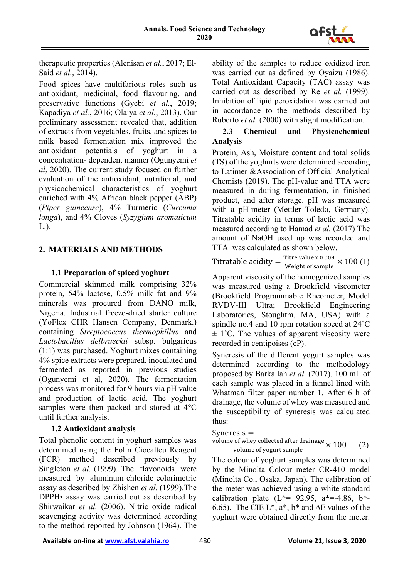

therapeutic properties (Alenisan *et al.*, 2017; El-Said *et al.*, 2014).

Food spices have multifarious roles such as antioxidant, medicinal, food flavouring, and preservative functions (Gyebi *et al.*, 2019; Kapadiya *et al.*, 2016; Olaiya *et al.*, 2013). Our preliminary assessment revealed that, addition of extracts from vegetables, fruits, and spices to milk based fermentation mix improved the antioxidant potentials of yoghurt in a concentration- dependent manner (Ogunyemi *et al*, 2020). The current study focused on further evaluation of the antioxidant, nutritional, and physicochemical characteristics of yoghurt enriched with 4% African black pepper (ABP) (*Piper guineense*), 4% Turmeric (*Curcuma longa*), and 4% Cloves (*Syzygium aromaticum* L.).

## **2. MATERIALS AND METHODS**

## **1.1 Preparation of spiced yoghurt**

Commercial skimmed milk comprising 32% protein, 54% lactose, 0.5% milk fat and 9% minerals was procured from DANO milk, Nigeria. Industrial freeze-dried starter culture (YoFlex CHR Hansen Company, Denmark.) containing *Streptococcus thermophillus* and *Lactobacillus delbrueckii* subsp. bulgaricus (1:1) was purchased. Yoghurt mixes containing 4% spice extracts were prepared, inoculated and fermented as reported in previous studies (Ogunyemi et al, 2020). The fermentation process was monitored for 9 hours via pH value and production of lactic acid. The yoghurt samples were then packed and stored at 4°C until further analysis.

## **1.2 Antioxidant analysis**

Total phenolic content in yoghurt samples was determined using the Folin Ciocalteu Reagent (FCR) method described previously by Singleton *et al.* (1999). The flavonoids were measured by aluminum chloride colorimetric assay as described by Zhishen *et al.* (1999).The DPPH• assay was carried out as described by Shirwaikar *et al.* (2006). Nitric oxide radical scavenging activity was determined according to the method reported by Johnson (1964). The ability of the samples to reduce oxidized iron was carried out as defined by Oyaizu (1986). Total Antioxidant Capacity (TAC) assay was carried out as described by Re *et al.* (1999). Inhibition of lipid peroxidation was carried out in accordance to the methods described by Ruberto *et al.* (2000) with slight modification.

## **2.3 Chemical and Physicochemical Analysis**

Protein, Ash, Moisture content and total solids (TS) of the yoghurts were determined according to Latimer &Association of Official Analytical Chemists (2019). The pH-value and TTA were measured in during fermentation, in finished product, and after storage. pH was measured with a pH-meter (Mettler Toledo, Germany). Titratable acidity in terms of lactic acid was measured according to Hamad *et al.* (2017) The amount of NaOH used up was recorded and TTA was calculated as shown below.

Titratable acidity = 
$$
\frac{\text{Titre value x 0.009}}{\text{Weight of sample}} \times 100 \text{ (1)}
$$

Apparent viscosity of the homogenized samples was measured using a Brookfield viscometer (Brookfield Programmable Rheometer, Model RVDV-III Ultra; Brookfield Engineering Laboratories, Stoughtm, MA, USA) with a spindle no.4 and 10 rpm rotation speed at 24˚C  $\pm$  1°C. The values of apparent viscosity were recorded in centipoises (cP).

Syneresis of the different yogurt samples was determined according to the methodology proposed by Barkallah *et al.* (2017). 100 mL of each sample was placed in a funnel lined with Whatman filter paper number 1. After 6 h of drainage, the volume of whey was measured and the susceptibility of syneresis was calculated thus:

```
Syneresis =
```

$$
\frac{\text{volume of whey collected after drainage}}{\text{volume of yogurt sample}} \times 100 \qquad (2)
$$

The colour of yoghurt samples was determined by the Minolta Colour meter CR-410 model (Minolta Co., Osaka, Japan). The calibration of the meter was achieved using a white standard calibration plate  $(L*- 92.95, a*-4.86, b*-$ 6.65). The CIE L<sup>\*</sup>, a<sup>\*</sup>, b<sup>\*</sup> and  $\Delta$ E values of the yoghurt were obtained directly from the meter.

Available on-line at **www.afst.valahia.ro** 480 **Volume 21, Issue 3, 2020**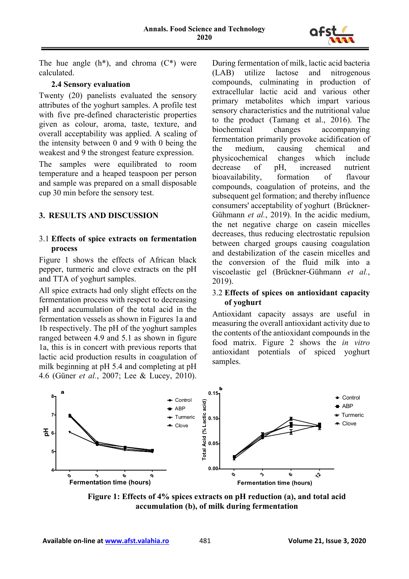

The hue angle  $(h^*)$ , and chroma  $(C^*)$  were calculated.

#### **2.4 Sensory evaluation**

Twenty (20) panelists evaluated the sensory attributes of the yoghurt samples. A profile test with five pre-defined characteristic properties given as colour, aroma, taste, texture, and overall acceptability was applied. A scaling of the intensity between 0 and 9 with 0 being the weakest and 9 the strongest feature expression.

The samples were equilibrated to room temperature and a heaped teaspoon per person and sample was prepared on a small disposable cup 30 min before the sensory test.

## **3. RESULTS AND DISCUSSION**

#### 3.1 **Effects of spice extracts on fermentation process**

Figure 1 shows the effects of African black pepper, turmeric and clove extracts on the pH and TTA of yoghurt samples.

All spice extracts had only slight effects on the fermentation process with respect to decreasing pH and accumulation of the total acid in the fermentation vessels as shown in Figures 1a and 1b respectively. The pH of the yoghurt samples ranged between 4.9 and 5.1 as shown in figure 1a, this is in concert with previous reports that lactic acid production results in coagulation of milk beginning at pH 5.4 and completing at pH 4.6 (Güner *et al.*, 2007; Lee & Lucey, 2010). During fermentation of milk, lactic acid bacteria (LAB) utilize lactose and nitrogenous compounds, culminating in production of extracellular lactic acid and various other primary metabolites which impart various sensory characteristics and the nutritional value to the product (Tamang et al., 2016). The biochemical changes accompanying fermentation primarily provoke acidification of the medium, causing chemical and physicochemical changes which include decrease of pH, increased nutrient bioavailability, formation of flavour compounds, coagulation of proteins, and the subsequent gel formation; and thereby influence consumers' acceptability of yoghurt (Brückner-Gühmann *et al.*, 2019). In the acidic medium, the net negative charge on casein micelles decreases, thus reducing electrostatic repulsion between charged groups causing coagulation and destabilization of the casein micelles and the conversion of the fluid milk into a viscoelastic gel (Brückner-Gühmann *et al.*, 2019).

### 3.2 **Effects of spices on antioxidant capacity of yoghurt**

Antioxidant capacity assays are useful in measuring the overall antioxidant activity due to the contents of the antioxidant compounds in the food matrix. Figure 2 shows the *in vitro* antioxidant potentials of spiced yoghurt samples.



**Figure 1: Effects of 4% spices extracts on pH reduction (a), and total acid accumulation (b), of milk during fermentation**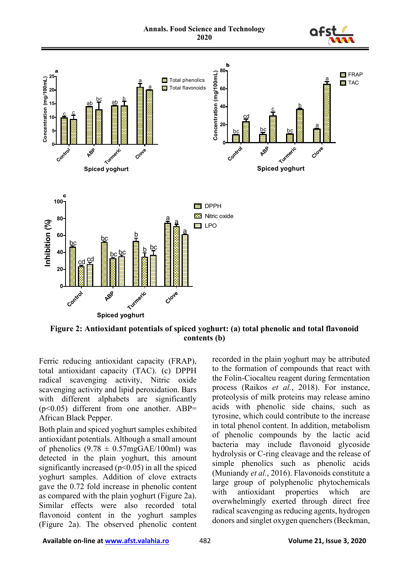



**Figure 2: Antioxidant potentials of spiced yoghurt: (a) total phenolic and total flavonoid contents (b)**

Ferric reducing antioxidant capacity (FRAP), total antioxidant capacity (TAC). (c) DPPH radical scavenging activity, Nitric oxide scavenging activity and lipid peroxidation. Bars with different alphabets are significantly  $(p<0.05)$  different from one another. ABP= African Black Pepper.

Both plain and spiced yoghurt samples exhibited antioxidant potentials. Although a small amount of phenolics  $(9.78 \pm 0.57 \text{mgGAE}/100 \text{ml})$  was detected in the plain yoghurt, this amount significantly increased  $(p<0.05)$  in all the spiced yoghurt samples. Addition of clove extracts gave the 0.72 fold increase in phenolic content as compared with the plain yoghurt (Figure 2a). Similar effects were also recorded total flavonoid content in the yoghurt samples (Figure 2a). The observed phenolic content

recorded in the plain yoghurt may be attributed to the formation of compounds that react with the Folin-Ciocalteu reagent during fermentation process (Raikos *et al.*, 2018). For instance, proteolysis of milk proteins may release amino acids with phenolic side chains, such as tyrosine, which could contribute to the increase in total phenol content. In addition, metabolism of phenolic compounds by the lactic acid bacteria may include flavonoid glycoside hydrolysis or C-ring cleavage and the release of simple phenolics such as phenolic acids (Muniandy *et al.*, 2016). Flavonoids constitute a large group of polyphenolic phytochemicals with antioxidant properties which are overwhelmingly exerted through direct free radical scavenging as reducing agents, hydrogen donors and singlet oxygen quenchers (Beckman,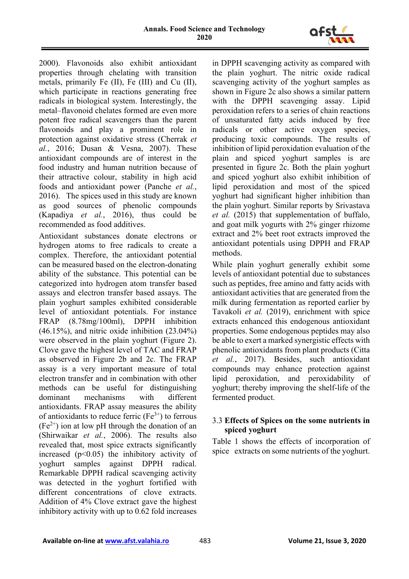

2000). Flavonoids also exhibit antioxidant properties through chelating with transition metals, primarily Fe (II), Fe (III) and Cu (II), which participate in reactions generating free radicals in biological system. Interestingly, the metal–flavonoid chelates formed are even more potent free radical scavengers than the parent flavonoids and play a prominent role in protection against oxidative stress (Cherrak *et al.*, 2016; Dusan & Vesna, 2007). These antioxidant compounds are of interest in the food industry and human nutrition because of their attractive colour, stability in high acid foods and antioxidant power (Panche *et al.*, 2016). The spices used in this study are known as good sources of phenolic compounds (Kapadiya *et al.*, 2016), thus could be recommended as food additives.

Antioxidant substances donate electrons or hydrogen atoms to free radicals to create a complex. Therefore, the antioxidant potential can be measured based on the electron-donating ability of the substance. This potential can be categorized into hydrogen atom transfer based assays and electron transfer based assays. The plain yoghurt samples exhibited considerable level of antioxidant potentials. For instance FRAP (8.78mg/100ml), DPPH inhibition  $(46.15\%)$ , and nitric oxide inhibition  $(23.04\%)$ were observed in the plain yoghurt (Figure 2). Clove gave the highest level of TAC and FRAP as observed in Figure 2b and 2c. The FRAP assay is a very important measure of total electron transfer and in combination with other methods can be useful for distinguishing dominant mechanisms with different antioxidants. FRAP assay measures the ability of antioxidants to reduce ferric  $(Fe<sup>3+</sup>)$  to ferrous  $(Fe<sup>2+</sup>)$  ion at low pH through the donation of an (Shirwaikar *et al.*, 2006). The results also revealed that, most spice extracts significantly increased  $(p<0.05)$  the inhibitory activity of yoghurt samples against DPPH radical. Remarkable DPPH radical scavenging activity was detected in the yoghurt fortified with different concentrations of clove extracts. Addition of 4% Clove extract gave the highest inhibitory activity with up to 0.62 fold increases

in DPPH scavenging activity as compared with the plain yoghurt. The nitric oxide radical scavenging activity of the yoghurt samples as shown in Figure 2c also shows a similar pattern with the DPPH scavenging assay. Lipid peroxidation refers to a series of chain reactions of unsaturated fatty acids induced by free radicals or other active oxygen species, producing toxic compounds. The results of inhibition of lipid peroxidation evaluation of the plain and spiced yoghurt samples is are presented in figure 2c. Both the plain yoghurt and spiced yoghurt also exhibit inhibition of lipid peroxidation and most of the spiced yoghurt had significant higher inhibition than the plain yoghurt. Similar reports by Srivastava *et al.* (2015) that supplementation of buffalo, and goat milk yogurts with 2% ginger rhizome extract and 2% beet root extracts improved the antioxidant potentials using DPPH and FRAP methods.

While plain yoghurt generally exhibit some levels of antioxidant potential due to substances such as peptides, free amino and fatty acids with antioxidant activities that are generated from the milk during fermentation as reported earlier by Tavakoli *et al.* (2019), enrichment with spice extracts enhanced this endogenous antioxidant properties. Some endogenous peptides may also be able to exert a marked synergistic effects with phenolic antioxidants from plant products (Citta *et al.*, 2017). Besides, such antioxidant compounds may enhance protection against lipid peroxidation, and peroxidability of yoghurt; thereby improving the shelf-life of the fermented product.

### 3.3 **Effects of Spices on the some nutrients in spiced yoghurt**

Table 1 shows the effects of incorporation of spice extracts on some nutrients of the yoghurt.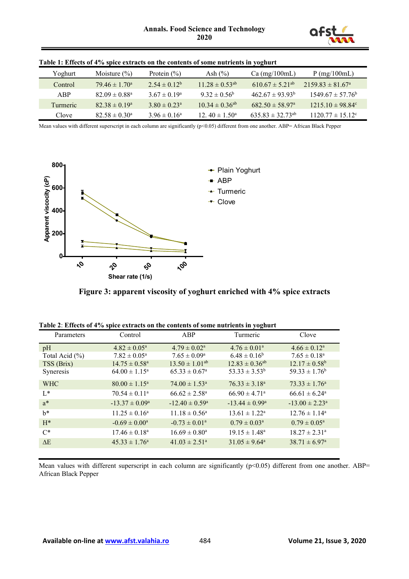

| Yoghurt         | Moisture $(\% )$              | Protein $(\% )$              | Ash $(\% )$                    | $Ca$ (mg/100mL)                 | $P$ (mg/100mL)                   |
|-----------------|-------------------------------|------------------------------|--------------------------------|---------------------------------|----------------------------------|
| Control         | $79.46 \pm 1.70^a$            | $2.54 \pm 0.12^b$            | $11.28 \pm 0.53^{ab}$          | $610.67 \pm 5.21^{ab}$          | $2159.83 \pm 81.67$ <sup>a</sup> |
| ABP.            | $82.09 \pm 0.88$ <sup>a</sup> | $3.67 \pm 0.19^{\circ}$      | $9.32 \pm 0.56^{\circ}$        | $462.67 \pm 93.93^{\circ}$      | $1549.67 \pm 57.76^{\circ}$      |
| <b>Turmeric</b> | $82.38 \pm 0.19^a$            | $3.80 \pm 0.23$ <sup>a</sup> | $10.34 \pm 0.36$ <sup>ab</sup> | $682.50 \pm 58.97$ <sup>a</sup> | $1215.10 \pm 98.84^{\circ}$      |
| Clove           | $82.58 \pm 0.30^{\circ}$      | $3.96 \pm 0.16^a$            | 12. $40 \pm 1.50^{\circ}$      | $635.83 \pm 32.73^{ab}$         | $1120.77 \pm 15.12$ °            |

|  | Table 1: Effects of 4% spice extracts on the contents of some nutrients in yoghurt |  |
|--|------------------------------------------------------------------------------------|--|
|--|------------------------------------------------------------------------------------|--|

Mean values with different superscript in each column are significantly (p<0.05) different from one another. ABP= African Black Pepper





|  | Table 2: Effects of 4% spice extracts on the contents of some nutrients in yoghurt |  |
|--|------------------------------------------------------------------------------------|--|
|--|------------------------------------------------------------------------------------|--|

| Parameters     | Control                   | ABP                         | Turmeric                  | Clove                      |
|----------------|---------------------------|-----------------------------|---------------------------|----------------------------|
| pH             | $4.82 \pm 0.05^{\rm a}$   | $4.79 \pm 0.02^{\text{a}}$  | $4.76 \pm 0.01^{\circ}$   | $4.66 \pm 0.12^{\rm a}$    |
| Total Acid (%) | $7.82 \pm 0.05^{\rm a}$   | $7.65 \pm 0.09^{\rm a}$     | $6.48 \pm 0.16^b$         | $7.65 \pm 0.18^a$          |
| TSS (Brix)     | $14.75 \pm 0.58^{\circ}$  | $13.50 \pm 1.01^{ab}$       | $12.83 \pm 0.36^{ab}$     | $12.17 \pm 0.58^b$         |
| Syneresis      | $64.00 \pm 1.15^{\circ}$  | $65.33 \pm 0.67^{\circ}$    | $53.33 \pm 3.53^b$        | $59.33 \pm 1.76^b$         |
| <b>WHC</b>     | $80.00 \pm 1.15^{\circ}$  | $74.00 \pm 1.53^{\circ}$    | $76.33 \pm 3.18^{\circ}$  | $73.33 \pm 1.76^{\circ}$   |
| $L^*$          | $70.54 \pm 0.11^{\circ}$  | $66.62 \pm 2.58^{\text{a}}$ | $66.90 \pm 4.71^{\circ}$  | $66.61 \pm 6.24^{\circ}$   |
| $a^*$          | $-13.37 \pm 0.09^{\circ}$ | $-12.40 \pm 0.59^{\circ}$   | $-13.44 \pm 0.99^{\circ}$ | $-13.00 \pm 2.23^{\circ}$  |
| $h^*$          | $11.25 \pm 0.16^{\circ}$  | $11.18 \pm 0.56^{\circ}$    | $13.61 \pm 1.22^{\circ}$  | $12.76 \pm 1.14^{\circ}$   |
| $H^*$          | $-0.69 \pm 0.00^a$        | $-0.73 \pm 0.01^{\circ}$    | $0.79 \pm 0.03^{\rm a}$   | $0.79 \pm 0.05^{\text{a}}$ |
| $C^*$          | $17.46 \pm 0.18^{\circ}$  | $16.69 \pm 0.80^{\circ}$    | $19.15 \pm 1.48^a$        | $18.27 \pm 2.31^{\circ}$   |
| $\Delta E$     | $45.33 \pm 1.76^{\circ}$  | $41.03 \pm 2.51^{\circ}$    | $31.05 \pm 9.64^{\circ}$  | $38.71 \pm 6.97^{\circ}$   |

Mean values with different superscript in each column are significantly  $(p<0.05)$  different from one another. ABP= African Black Pepper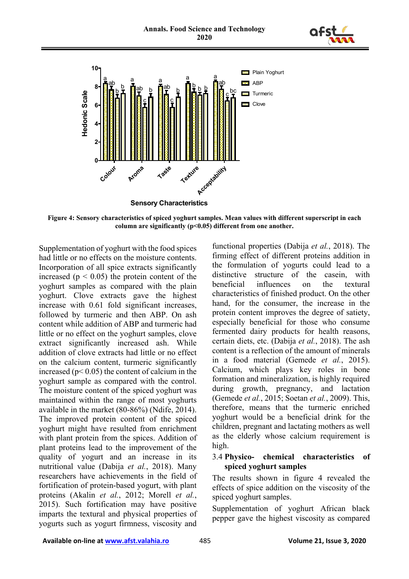



**Figure 4: Sensory characteristics of spiced yoghurt samples. Mean values with different superscript in each column are significantly (p<0.05) different from one another.**

Supplementation of yoghurt with the food spices had little or no effects on the moisture contents. Incorporation of all spice extracts significantly increased ( $p < 0.05$ ) the protein content of the yoghurt samples as compared with the plain yoghurt. Clove extracts gave the highest increase with 0.61 fold significant increases, followed by turmeric and then ABP. On ash content while addition of ABP and turmeric had little or no effect on the yoghurt samples, clove extract significantly increased ash. While addition of clove extracts had little or no effect on the calcium content, turmeric significantly increased ( $p < 0.05$ ) the content of calcium in the yoghurt sample as compared with the control. The moisture content of the spiced yoghurt was maintained within the range of most yoghurts available in the market (80-86%) (Ndife, 2014). The improved protein content of the spiced yoghurt might have resulted from enrichment with plant protein from the spices. Addition of plant proteins lead to the improvement of the quality of yogurt and an increase in its nutritional value (Dabija *et al.*, 2018). Many researchers have achievements in the field of fortification of protein-based yogurt, with plant proteins (Akalin *et al.*, 2012; Morell *et al.*, 2015). Such fortification may have positive imparts the textural and physical properties of yogurts such as yogurt firmness, viscosity and

functional properties (Dabija *et al.*, 2018). The firming effect of different proteins addition in the formulation of yogurts could lead to a distinctive structure of the casein, with beneficial influences on the textural characteristics of finished product. On the other hand, for the consumer, the increase in the protein content improves the degree of satiety, especially beneficial for those who consume fermented dairy products for health reasons, certain diets, etc. (Dabija *et al.*, 2018). The ash content is a reflection of the amount of minerals in a food material (Gemede *et al.*, 2015). Calcium, which plays key roles in bone formation and mineralization, is highly required during growth, pregnancy, and lactation (Gemede *et al.*, 2015; Soetan *et al.*, 2009). This, therefore, means that the turmeric enriched yoghurt would be a beneficial drink for the children, pregnant and lactating mothers as well as the elderly whose calcium requirement is high.

#### 3.4 **Physico- chemical characteristics of spiced yoghurt samples**

The results shown in figure 4 revealed the effects of spice addition on the viscosity of the spiced yoghurt samples.

Supplementation of yoghurt African black pepper gave the highest viscosity as compared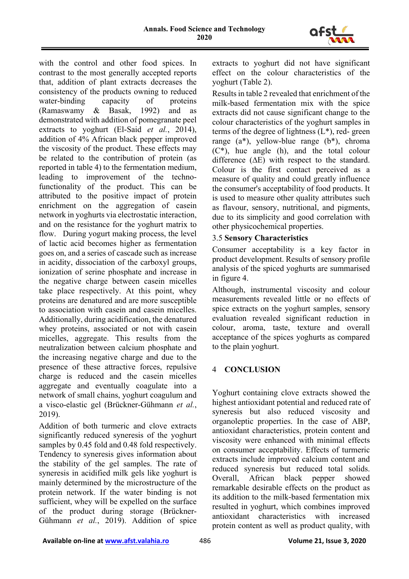

with the control and other food spices. In contrast to the most generally accepted reports that, addition of plant extracts decreases the consistency of the products owning to reduced water-binding capacity of proteins (Ramaswamy & Basak, 1992) and as demonstrated with addition of pomegranate peel extracts to yoghurt (El-Said *et al.*, 2014), addition of 4% African black pepper improved the viscosity of the product. These effects may be related to the contribution of protein (as reported in table 4) to the fermentation medium, leading to improvement of the technofunctionality of the product. This can be attributed to the positive impact of protein enrichment on the aggregation of casein network in yoghurts via electrostatic interaction, and on the resistance for the yoghurt matrix to flow. During yogurt making process, the level of lactic acid becomes higher as fermentation goes on, and a series of cascade such as increase in acidity, dissociation of the carboxyl groups, ionization of serine phosphate and increase in the negative charge between casein micelles take place respectively. At this point, whey proteins are denatured and are more susceptible to association with casein and casein micelles. Additionally, during acidification, the denatured whey proteins, associated or not with casein micelles, aggregate. This results from the neutralization between calcium phosphate and the increasing negative charge and due to the presence of these attractive forces, repulsive charge is reduced and the casein micelles aggregate and eventually coagulate into a network of small chains, yoghurt coagulum and a visco-elastic gel (Brückner-Gühmann *et al.*, 2019).

Addition of both turmeric and clove extracts significantly reduced syneresis of the yoghurt samples by 0.45 fold and 0.48 fold respectively. Tendency to syneresis gives information about the stability of the gel samples. The rate of syneresis in acidified milk gels like yoghurt is mainly determined by the microstructure of the protein network. If the water binding is not sufficient, whey will be expelled on the surface of the product during storage (Brückner-Gühmann *et al.*, 2019). Addition of spice

extracts to yoghurt did not have significant effect on the colour characteristics of the yoghurt (Table 2).

Results in table 2 revealed that enrichment of the milk-based fermentation mix with the spice extracts did not cause significant change to the colour characteristics of the yoghurt samples in terms of the degree of lightness  $(L^*)$ , red-green range (a\*), yellow-blue range (b\*), chroma  $(C^*)$ , hue angle (h), and the total colour difference (∆E) with respect to the standard. Colour is the first contact perceived as a measure of quality and could greatly influence the consumer's acceptability of food products. It is used to measure other quality attributes such as flavour, sensory, nutritional, and pigments, due to its simplicity and good correlation with other physicochemical properties.

### 3.5 **Sensory Characteristics**

Consumer acceptability is a key factor in product development. Results of sensory profile analysis of the spiced yoghurts are summarised in figure 4.

Although, instrumental viscosity and colour measurements revealed little or no effects of spice extracts on the yoghurt samples, sensory evaluation revealed significant reduction in colour, aroma, taste, texture and overall acceptance of the spices yoghurts as compared to the plain yoghurt.

# 4 **CONCLUSION**

Yoghurt containing clove extracts showed the highest antioxidant potential and reduced rate of syneresis but also reduced viscosity and organoleptic properties. In the case of ABP, antioxidant characteristics, protein content and viscosity were enhanced with minimal effects on consumer acceptability. Effects of turmeric extracts include improved calcium content and reduced syneresis but reduced total solids. Overall, African black pepper showed remarkable desirable effects on the product as its addition to the milk-based fermentation mix resulted in yoghurt, which combines improved antioxidant characteristics with increased protein content as well as product quality, with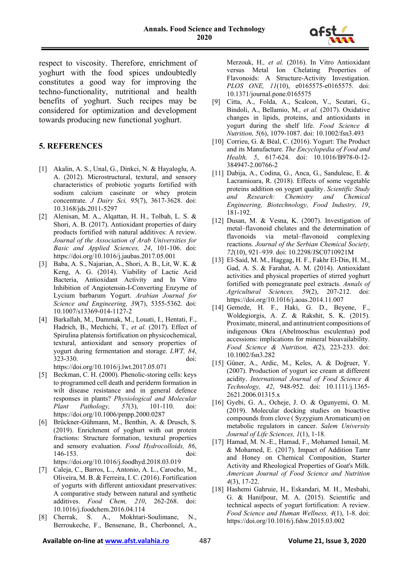

respect to viscosity. Therefore, enrichment of yoghurt with the food spices undoubtedly constitutes a good way for improving the techno-functionality, nutritional and health benefits of yoghurt. Such recipes may be considered for optimization and development towards producing new functional yoghurt.

## **5. REFERENCES**

- [1] Akalin, A. S., Unal, G., Dinkci, N. & Hayaloglu, A. A. (2012). Microstructural, textural, and sensory characteristics of probiotic yogurts fortified with sodium calcium caseinate or whey protein concentrate. *J Dairy Sci, 95*(7), 3617-3628. doi: 10.3168/jds.2011-5297
- [2] Alenisan, M. A., Alqattan, H. H., Tolbah, L. S. & Shori, A. B. (2017). Antioxidant properties of dairy products fortified with natural additives: A review. *Journal of the Association of Arab Universities for Basic and Applied Sciences, 24*, 101-106. doi: https://doi.org/10.1016/j.jaubas.2017.05.001
- [3] Baba, A. S., Najarian, A., Shori, A. B., Lit, W. K. & Keng, A. G. (2014). Viability of Lactic Acid Bacteria, Antioxidant Activity and In Vitro Inhibition of Angiotensin-I-Converting Enzyme of Lycium barbarum Yogurt. *Arabian Journal for Science and Engineering, 39*(7), 5355-5362. doi: 10.1007/s13369-014-1127-2
- [4] Barkallah, M., Dammak, M., Louati, I., Hentati, F., Hadrich, B., Mechichi, T.*, et al.* (2017). Effect of Spirulina platensis fortification on physicochemical, textural, antioxidant and sensory properties of yogurt during fermentation and storage. *LWT, 84*, 323-330. doi: https://doi.org/10.1016/j.lwt.2017.05.071
- [5] Beckman, C. H. (2000). Phenolic-storing cells: keys to programmed cell death and periderm formation in wilt disease resistance and in general defence responses in plants? *Physiological and Molecular Plant Pathology, 57*(3), 101-110. doi: https://doi.org/10.1006/pmpp.2000.0287
- [6] Brückner-Gühmann, M., Benthin, A. & Drusch, S. (2019). Enrichment of yoghurt with oat protein fractions: Structure formation, textural properties and sensory evaluation. *Food Hydrocolloids, 86*, 146-153. doi: https://doi.org/10.1016/j.foodhyd.2018.03.019
- [7] Caleja, C., Barros, L., Antonio, A. L., Carocho, M., Oliveira, M. B. & Ferreira, I. C. (2016). Fortification of yogurts with different antioxidant preservatives: A comparative study between natural and synthetic additives. *Food Chem, 210*, 262-268. doi: 10.1016/j.foodchem.2016.04.114
- [8] Cherrak, S. A., Mokhtari-Soulimane, N., Berroukeche, F., Bensenane, B., Cherbonnel, A.,

Merzouk, H.*, et al.* (2016). In Vitro Antioxidant versus Metal Ion Chelating Properties of Flavonoids: A Structure-Activity Investigation. *PLOS ONE, 11*(10), e0165575-e0165575. doi: 10.1371/journal.pone.0165575

- [9] Citta, A., Folda, A., Scalcon, V., Scutari, G., Bindoli, A., Bellamio, M.*, et al.* (2017). Oxidative changes in lipids, proteins, and antioxidants in yogurt during the shelf life. *Food Science & Nutrition, 5*(6), 1079-1087. doi: 10.1002/fsn3.493
- [10] Corrieu, G. & Béal, C. (2016). Yogurt: The Product and its Manufacture. *The Encyclopedia of Food and Health, 5*, 617-624. doi: 10.1016/B978-0-12- 384947-2.00766-2
- [11] Dabija, A., Codina, G., Anca, G., Sanduleac, E. & Lacramioara, R. (2018). Effects of some vegetable proteins addition on yogurt quality. *Scientific Study and Research: Chemistry and Chemical Engineering, Biotechnology, Food Industry, 19*, 181-192.
- [12] Dusan, M. & Vesna, K. (2007). Investigation of metal–flavonoid chelates and the determination of flavonoids via metal–flavonoid complexing reactions. *Journal of the Serbian Chemical Society, 72*(10), 921–939. doi: 10.2298/JSC0710921M
- [13] El-Said, M. M., Haggag, H. F., Fakhr El-Din, H. M., Gad, A. S. & Farahat, A. M. (2014). Antioxidant activities and physical properties of stirred yoghurt fortified with pomegranate peel extracts. *Annals of Agricultural Sciences, 59*(2), 207-212. doi: https://doi.org/10.1016/j.aoas.2014.11.007
- [14] Gemede, H. F., Haki, G. D., Beyene, F., Woldegiorgis, A. Z. & Rakshit, S. K. (2015). Proximate, mineral, and antinutrient compositions of indigenous Okra (Abelmoschus esculentus) pod accessions: implications for mineral bioavailability. *Food Science & Nutrition, 4*(2), 223-233. doi: 10.1002/fsn3.282
- [15] Güner, A., Ardic, M., Keles, A. & Doğruer, Y. (2007). Production of yogurt ice cream at different acidity. *International Journal of Food Science & Technology, 42*, 948-952. doi: 10.1111/j.1365- 2621.2006.01315.x
- [16] Gyebi, G. A., Ocheje, J. O. & Ogunyemi, O. M. (2019). Molecular docking studies on bioactive compounds from clove ( Syzygium Aromaticum) on metabolic regulators in cancer. *Salem University Journal of Life Sciences, 1*(1), 1-18.
- [17] Hamad, M. N.-E., Hamad, F., Mohamed Ismail, M. & Mohamed, E. (2017). Impact of Addition Tamr and Honey on Chemical Composition, Starter Activity and Rheological Properties of Goat's Milk. *American Journal of Food Science and Nutrition 4*(3), 17-22.
- [18] Hashemi Gahruie, H., Eskandari, M. H., Mesbahi, G. & Hanifpour, M. A. (2015). Scientific and technical aspects of yogurt fortification: A review. *Food Science and Human Wellness, 4*(1), 1-8. doi: https://doi.org/10.1016/j.fshw.2015.03.002

#### Available on-line at **www.afst.valahia.ro** 487 **Volume 21, Issue 3, 2020**